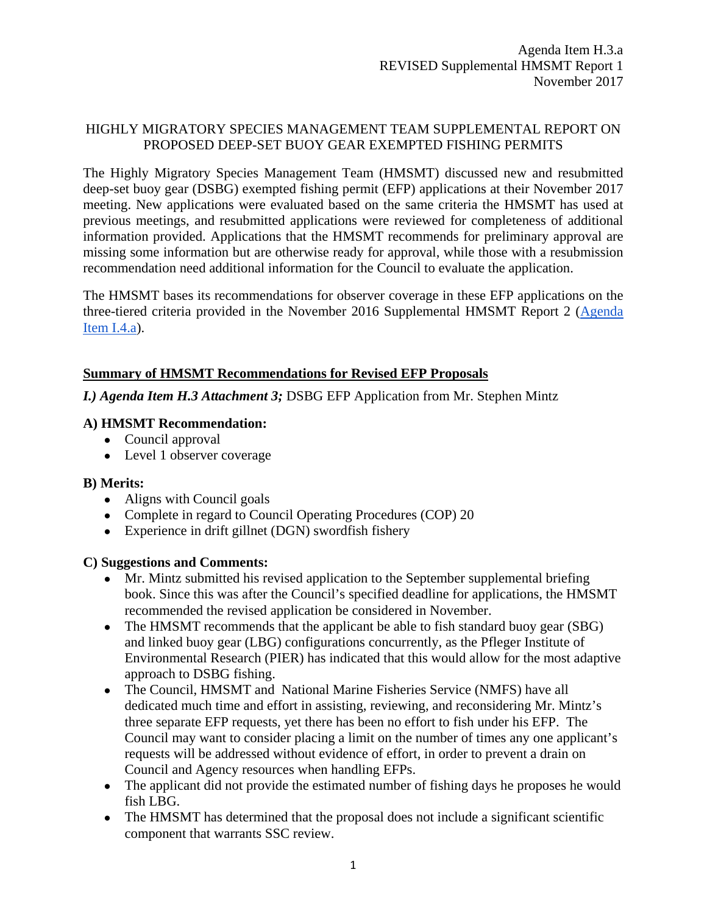## HIGHLY MIGRATORY SPECIES MANAGEMENT TEAM SUPPLEMENTAL REPORT ON PROPOSED DEEP-SET BUOY GEAR EXEMPTED FISHING PERMITS

The Highly Migratory Species Management Team (HMSMT) discussed new and resubmitted deep-set buoy gear (DSBG) exempted fishing permit (EFP) applications at their November 2017 meeting. New applications were evaluated based on the same criteria the HMSMT has used at previous meetings, and resubmitted applications were reviewed for completeness of additional information provided. Applications that the HMSMT recommends for preliminary approval are missing some information but are otherwise ready for approval, while those with a resubmission recommendation need additional information for the Council to evaluate the application.

The HMSMT bases its recommendations for observer coverage in these EFP applications on the three-tiered criteria provided in the November 2016 Supplemental HMSMT Report 2 [\(Agenda](http://www.pcouncil.org/wp-content/uploads/2016/11/I4a_Sup_HMSMT_Rpt2_DSBG_EFPs_NOV2016BB.pdf)  [Item I.4.a\)](http://www.pcouncil.org/wp-content/uploads/2016/11/I4a_Sup_HMSMT_Rpt2_DSBG_EFPs_NOV2016BB.pdf).

# **Summary of HMSMT Recommendations for Revised EFP Proposals**

*I.) Agenda Item H.3 Attachment 3;* DSBG EFP Application from Mr. Stephen Mintz

## **A) HMSMT Recommendation:**

- Council approval
- Level 1 observer coverage

### **B) Merits:**

- Aligns with Council goals
- Complete in regard to Council Operating Procedures (COP) 20
- Experience in drift gillnet (DGN) swordfish fishery

### **C) Suggestions and Comments:**

- Mr. Mintz submitted his revised application to the September supplemental briefing book. Since this was after the Council's specified deadline for applications, the HMSMT recommended the revised application be considered in November.
- The HMSMT recommends that the applicant be able to fish standard buoy gear (SBG) and linked buoy gear (LBG) configurations concurrently, as the Pfleger Institute of Environmental Research (PIER) has indicated that this would allow for the most adaptive approach to DSBG fishing.
- The Council, HMSMT and National Marine Fisheries Service (NMFS) have all dedicated much time and effort in assisting, reviewing, and reconsidering Mr. Mintz's three separate EFP requests, yet there has been no effort to fish under his EFP. The Council may want to consider placing a limit on the number of times any one applicant's requests will be addressed without evidence of effort, in order to prevent a drain on Council and Agency resources when handling EFPs.
- The applicant did not provide the estimated number of fishing days he proposes he would fish LBG.
- The HMSMT has determined that the proposal does not include a significant scientific component that warrants SSC review.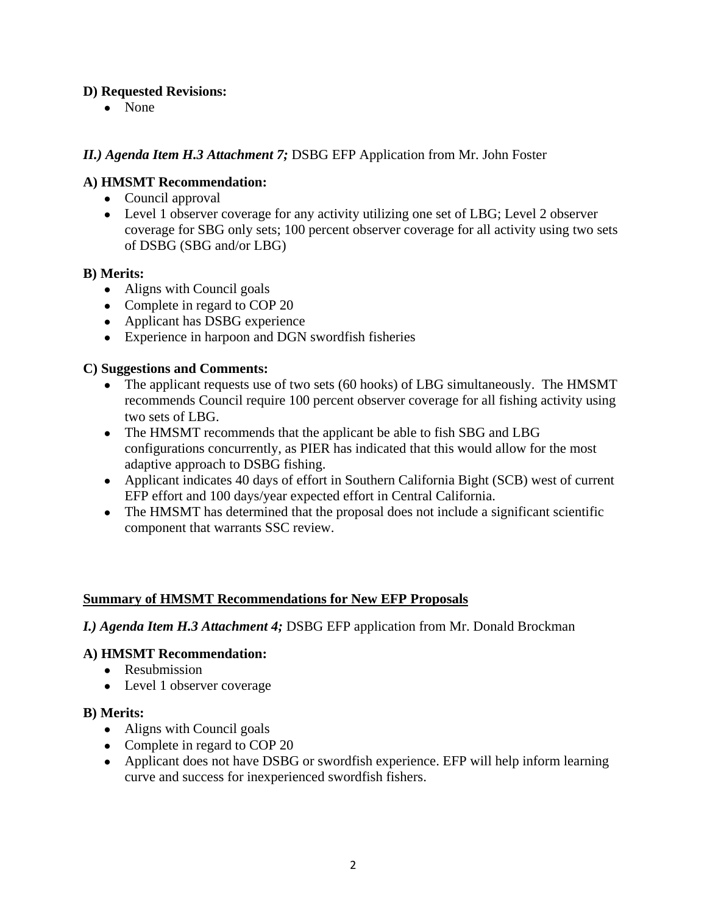# **D) Requested Revisions:**

● None

# *II.) Agenda Item H.3 Attachment 7;* DSBG EFP Application from Mr. John Foster

## **A) HMSMT Recommendation:**

- Council approval
- Level 1 observer coverage for any activity utilizing one set of LBG; Level 2 observer coverage for SBG only sets; 100 percent observer coverage for all activity using two sets of DSBG (SBG and/or LBG)

### **B) Merits:**

- Aligns with Council goals
- Complete in regard to COP 20
- Applicant has DSBG experience
- Experience in harpoon and DGN swordfish fisheries

## **C) Suggestions and Comments:**

- The applicant requests use of two sets (60 hooks) of LBG simultaneously. The HMSMT recommends Council require 100 percent observer coverage for all fishing activity using two sets of LBG.
- The HMSMT recommends that the applicant be able to fish SBG and LBG configurations concurrently, as PIER has indicated that this would allow for the most adaptive approach to DSBG fishing.
- Applicant indicates 40 days of effort in Southern California Bight (SCB) west of current EFP effort and 100 days/year expected effort in Central California.
- The HMSMT has determined that the proposal does not include a significant scientific component that warrants SSC review.

### **Summary of HMSMT Recommendations for New EFP Proposals**

### *I.) Agenda Item H.3 Attachment 4;* DSBG EFP application from Mr. Donald Brockman

### **A) HMSMT Recommendation:**

- Resubmission
- Level 1 observer coverage

### **B) Merits:**

- Aligns with Council goals
- Complete in regard to COP 20
- Applicant does not have DSBG or swordfish experience. EFP will help inform learning curve and success for inexperienced swordfish fishers.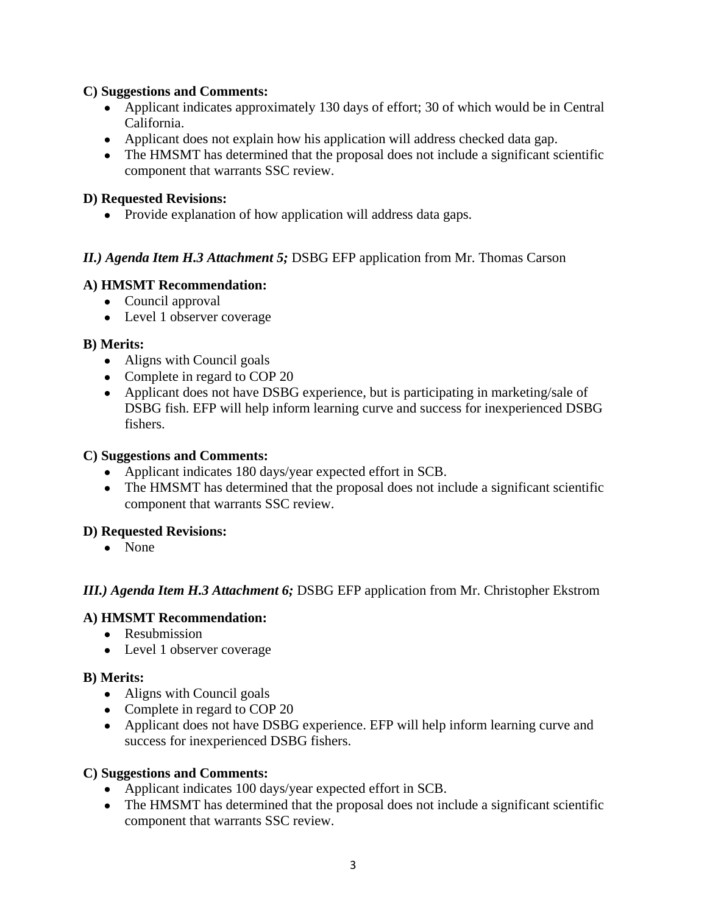## **C) Suggestions and Comments:**

- Applicant indicates approximately 130 days of effort; 30 of which would be in Central California.
- Applicant does not explain how his application will address checked data gap.
- The HMSMT has determined that the proposal does not include a significant scientific component that warrants SSC review.

### **D) Requested Revisions:**

• Provide explanation of how application will address data gaps.

## *II.) Agenda Item H.3 Attachment 5;* DSBG EFP application from Mr. Thomas Carson

## **A) HMSMT Recommendation:**

- Council approval
- Level 1 observer coverage

### **B) Merits:**

- Aligns with Council goals
- Complete in regard to COP 20
- Applicant does not have DSBG experience, but is participating in marketing/sale of DSBG fish. EFP will help inform learning curve and success for inexperienced DSBG fishers.

### **C) Suggestions and Comments:**

- Applicant indicates 180 days/year expected effort in SCB.
- The HMSMT has determined that the proposal does not include a significant scientific component that warrants SSC review.

### **D) Requested Revisions:**

● None

# *III.) Agenda Item H.3 Attachment 6;* DSBG EFP application from Mr. Christopher Ekstrom

# **A) HMSMT Recommendation:**

- Resubmission
- Level 1 observer coverage

### **B) Merits:**

- Aligns with Council goals
- Complete in regard to COP 20
- Applicant does not have DSBG experience. EFP will help inform learning curve and success for inexperienced DSBG fishers.

### **C) Suggestions and Comments:**

- Applicant indicates 100 days/year expected effort in SCB.
- The HMSMT has determined that the proposal does not include a significant scientific component that warrants SSC review.